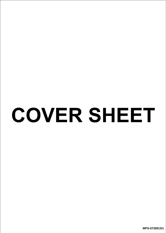## COVER SHEET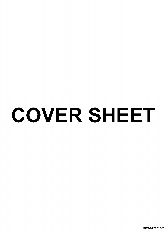## COVER SHEET